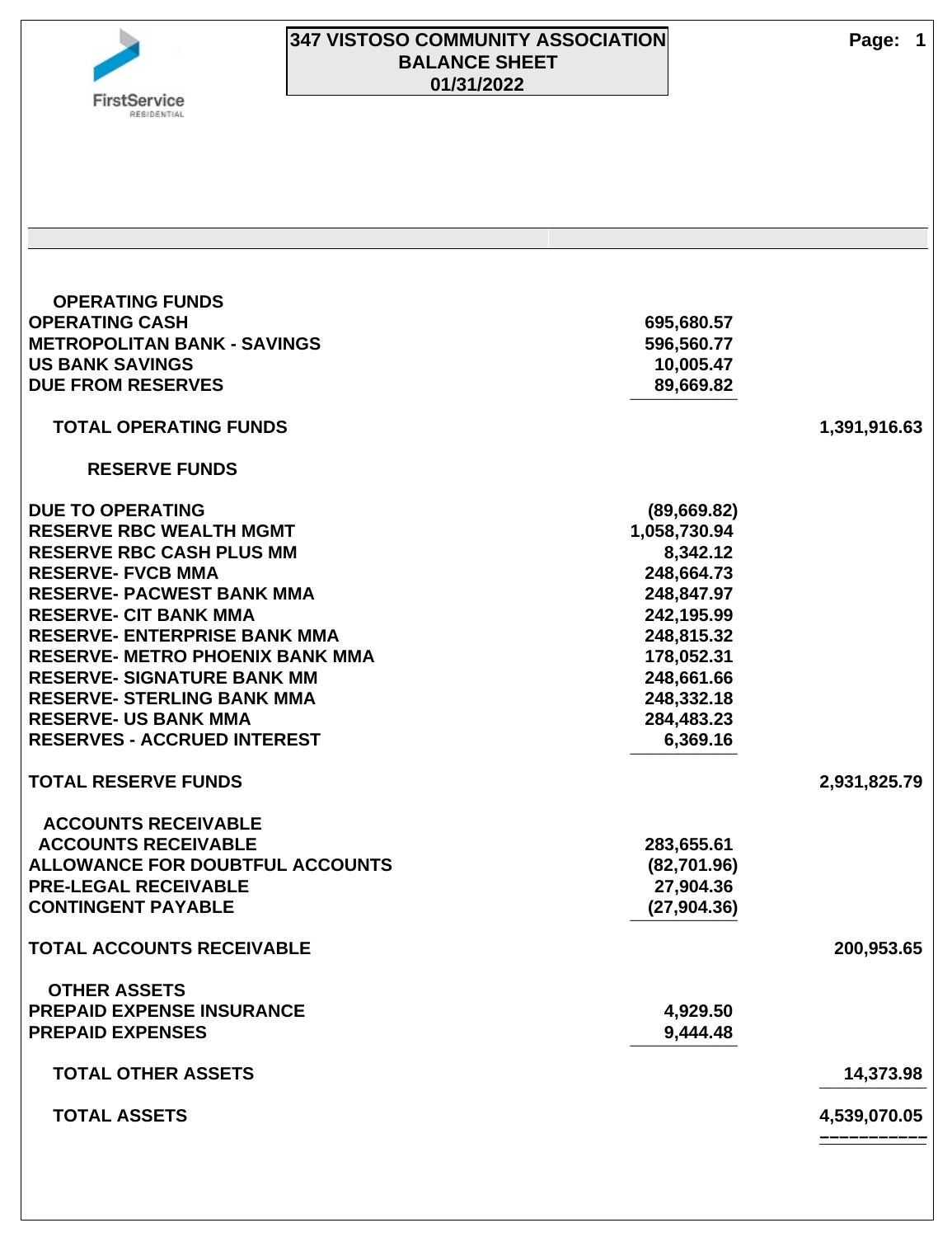

### **347 VISTOSO COMMUNITY ASSOCIATION Page: 1 BALANCE SHEET 01/31/2022**

 **OPERATING FUNDS OPERATING CASH 695,680.57 METROPOLITAN BANK - SAVINGS 1996,560.77 US BANK SAVINGS 10,005.47 DUE FROM RESERVES 89,669.82 ¯¯¯¯¯¯¯¯¯¯¯ TOTAL OPERATING FUNDS 1,391,916.63 RESERVE FUNDS DUE TO OPERATING (89,669.82) RESERVE RBC WEALTH MGMT 1,058,730.94 RESERVE RBC CASH PLUS MM 8,342.12 RESERVE- FVCB MMA 248,664.73 RESERVE- PACWEST BANK MMA 248,847.97 RESERVE- CIT BANK MMA 242,195.99 RESERVE- ENTERPRISE BANK MMA 248,815.32 RESERVE- METRO PHOENIX BANK MMA 178,052.31 RESERVE- SIGNATURE BANK MM 248,661.66 RESERVE- STERLING BANK MMA 248,332.18 RESERVE- US BANK MMA 284,483.23 RESERVES - ACCRUED INTEREST 6,369.16 ¯¯¯¯¯¯¯¯¯¯¯ TOTAL RESERVE FUNDS 2,931,825.79 ACCOUNTS RECEIVABLE ACCOUNTS RECEIVABLE 283,655.61 ALLOWANCE FOR DOUBTFUL ACCOUNTS (82,701.96) PRE-LEGAL RECEIVABLE 27,904.36 CONTINGENT PAYABLE (27,904.36) ¯¯¯¯¯¯¯¯¯¯¯ TOTAL ACCOUNTS RECEIVABLE 200,953.65 OTHER ASSETS PREPAID EXPENSE INSURANCE 4,929.50 PREPAID EXPENSES 9,444.48 ¯¯¯¯¯¯¯¯¯¯¯ TOTAL OTHER ASSETS 14,373.98 ¯¯¯¯¯¯¯¯¯¯¯ TOTAL ASSETS 4,539,070.05 –––––––––––**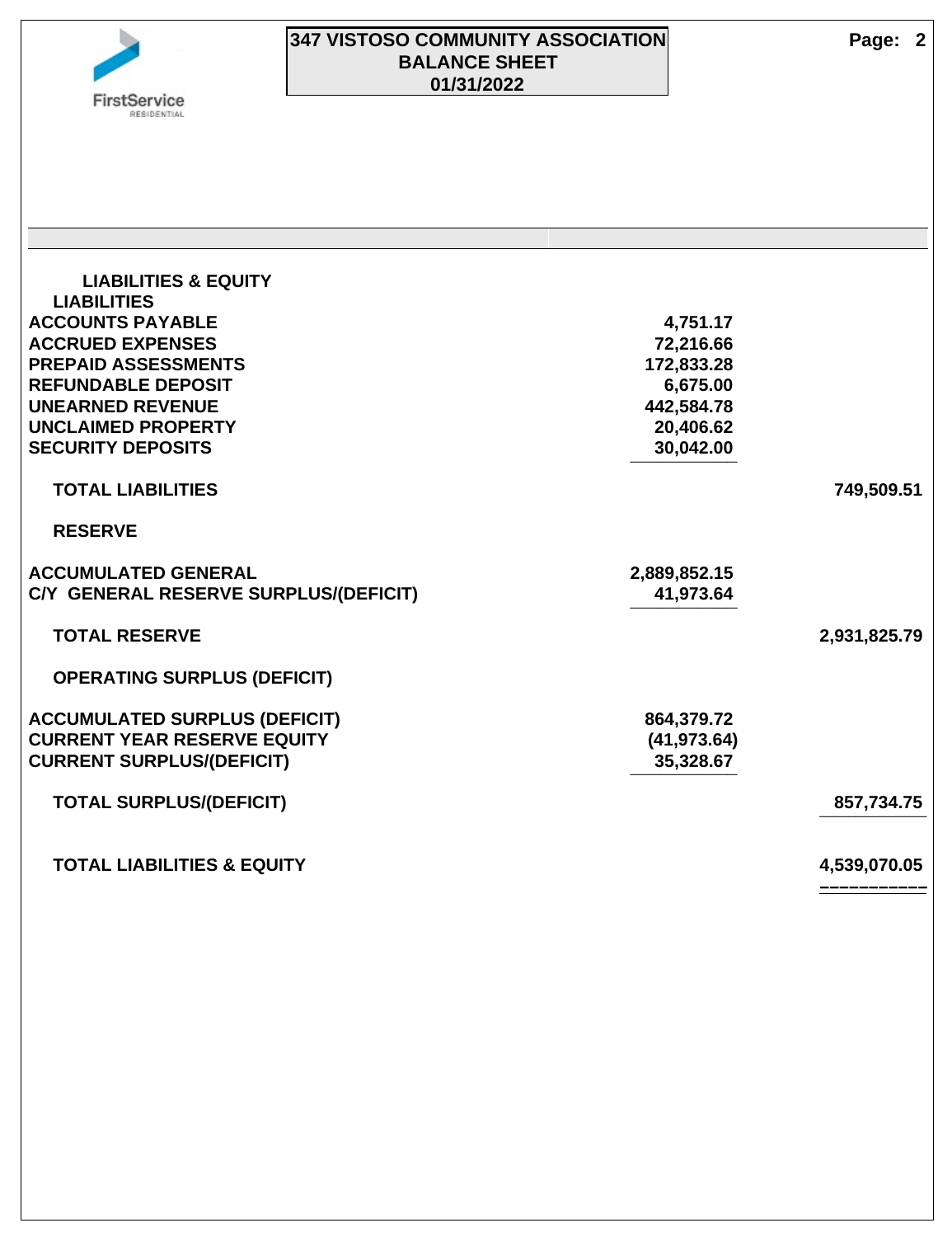### **347 VISTOSO COMMUNITY ASSOCIATION Page: 2 BALANCE SHEET 01/31/2022**

 **LIABILITIES & EQUITY LIABILITIES ACCOUNTS PAYABLE 4,751.17 ACCRUED EXPENSES 72,216.66 PREPAID ASSESSMENTS 172,833.28 REFUNDABLE DEPOSIT 6,675.00 UNEARNED REVENUE 442,584.78 UNCLAIMED PROPERTY 20,406.62 SECURITY DEPOSITS 30,042.00 ¯¯¯¯¯¯¯¯¯¯¯ TOTAL LIABILITIES 749,509.51 RESERVE ACCUMULATED GENERAL 2,889,852.15 C/Y GENERAL RESERVE SURPLUS/(DEFICIT) 41,973.64 ¯¯¯¯¯¯¯¯¯¯¯ TOTAL RESERVE 2,931,825.79 OPERATING SURPLUS (DEFICIT) ACCUMULATED SURPLUS (DEFICIT) 864,379.72 CURRENT YEAR RESERVE EQUITY (41,973.64) CURRENT SURPLUS/(DEFICIT) 35,328.67 ¯¯¯¯¯¯¯¯¯¯¯ TOTAL SURPLUS/(DEFICIT) 857,734.75 ¯¯¯¯¯¯¯¯¯¯¯ TOTAL LIABILITIES & EQUITY 4,539,070.05 –––––––––––**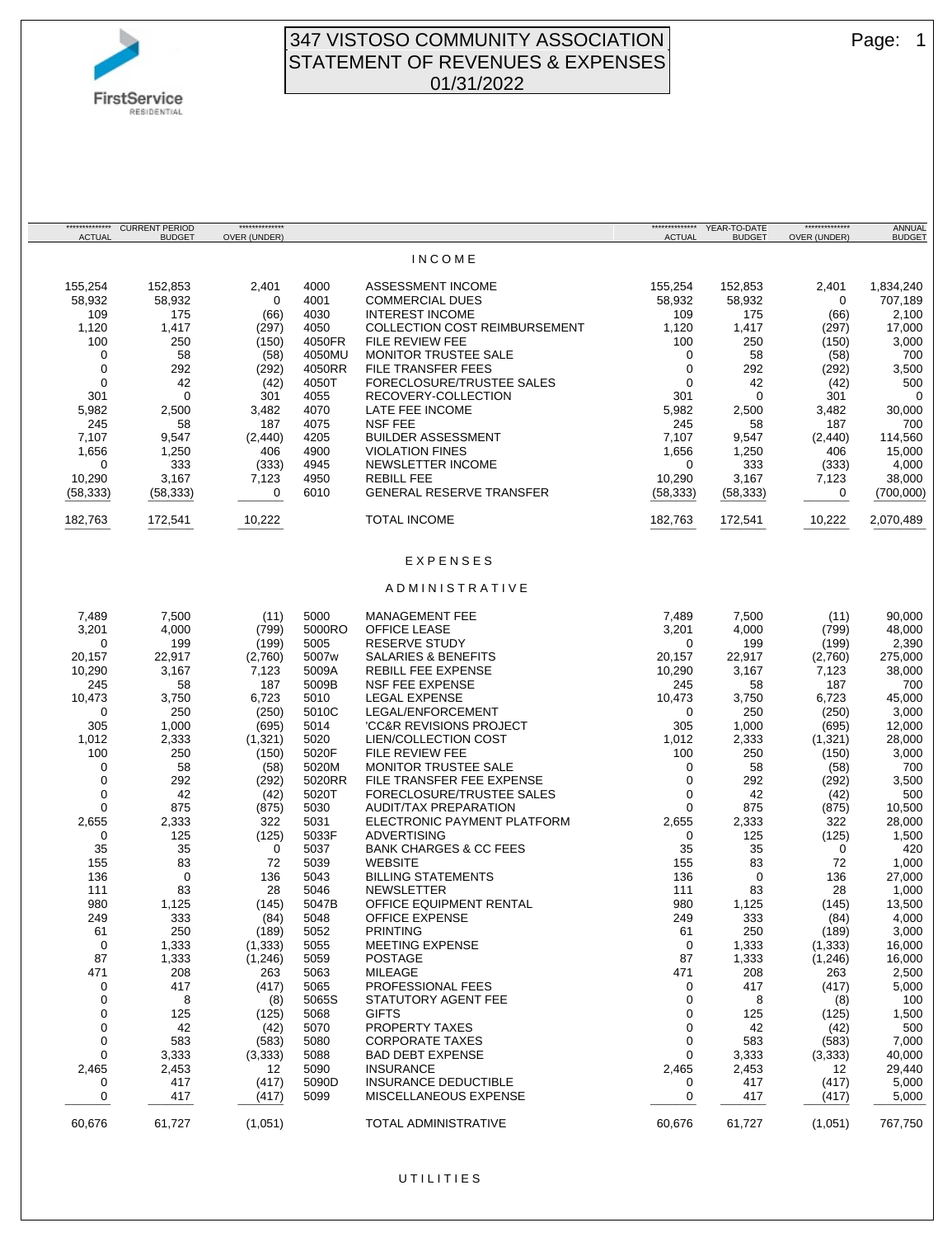

#### 347 VISTOSO COMMUNITY ASSOCIATION Page: 1 STATEMENT OF REVENUES & EXPENSES 01/31/2022

| <b>ACTUAL</b> | *************** CURRENT PERIOD<br><b>BUDGET</b> | **************<br>OVER (UNDER) |               |                                                   | <b>ACTUAL</b> | <b>BUDGET</b> | **************<br>OVER (UNDER) | ANNUAL<br><b>BUDGET</b> |
|---------------|-------------------------------------------------|--------------------------------|---------------|---------------------------------------------------|---------------|---------------|--------------------------------|-------------------------|
|               |                                                 |                                |               | <b>INCOME</b>                                     |               |               |                                |                         |
| 155,254       | 152,853                                         | 2,401                          | 4000          | ASSESSMENT INCOME                                 | 155,254       | 152,853       | 2,401                          | 1,834,240               |
| 58,932        | 58,932                                          | 0                              | 4001          | <b>COMMERCIAL DUES</b>                            | 58,932        | 58,932        | 0                              | 707,189                 |
| 109           | 175                                             | (66)                           | 4030          | <b>INTEREST INCOME</b>                            | 109           | 175           | (66)                           | 2,100                   |
| 1,120         | 1,417                                           | (297)                          | 4050          | <b>COLLECTION COST REIMBURSEMENT</b>              | 1,120         | 1,417         | (297)                          | 17,000                  |
| 100           | 250                                             | (150)                          | 4050FR        | FILE REVIEW FEE                                   | 100           | 250           | (150)                          | 3,000                   |
| 0             | 58                                              | (58)                           | 4050MU        | MONITOR TRUSTEE SALE                              | 0             | 58            | (58)                           | 700                     |
| 0             | 292                                             | (292)                          | 4050RR        | FILE TRANSFER FEES                                | $\mathbf 0$   | 292           | (292)                          | 3,500                   |
| 0             | 42                                              | (42)                           | 4050T         | FORECLOSURE/TRUSTEE SALES                         | $\mathbf 0$   | 42            | (42)                           | 500                     |
| 301           | $\mathbf 0$                                     | 301                            | 4055          | RECOVERY-COLLECTION                               | 301           | 0             | 301                            | $\overline{0}$          |
| 5,982         | 2,500                                           | 3,482                          | 4070          | LATE FEE INCOME                                   | 5,982         | 2,500         | 3,482                          | 30,000                  |
| 245           | 58                                              | 187                            | 4075          | <b>NSF FEE</b>                                    | 245           | 58            | 187                            | 700                     |
| 7,107         | 9,547                                           | (2, 440)                       | 4205          | <b>BUILDER ASSESSMENT</b>                         | 7,107         | 9,547         | (2, 440)                       | 114,560                 |
| 1,656         | 1,250                                           | 406                            | 4900          | <b>VIOLATION FINES</b>                            | 1,656         | 1,250         | 406                            | 15,000                  |
| 0             | 333                                             | (333)                          | 4945          | NEWSLETTER INCOME                                 | 0             | 333           | (333)                          | 4,000                   |
| 10,290        | 3,167                                           | 7,123                          | 4950          | <b>REBILL FEE</b>                                 | 10,290        | 3,167         | 7,123                          | 38,000                  |
| (58, 333)     | (58, 333)                                       | 0                              | 6010          | <b>GENERAL RESERVE TRANSFER</b>                   | (58, 333)     | (58, 333)     | 0                              | (700,000)               |
| 182,763       | 172,541                                         | 10,222                         |               | <b>TOTAL INCOME</b>                               | 182,763       | 172,541       | 10,222                         | 2,070,489               |
|               |                                                 |                                |               |                                                   |               |               |                                |                         |
|               |                                                 |                                |               | EXPENSES                                          |               |               |                                |                         |
|               |                                                 |                                |               | ADMINISTRATIVE                                    |               |               |                                |                         |
| 7,489         | 7,500                                           | (11)                           | 5000          | MANAGEMENT FEE                                    | 7,489         | 7,500         | (11)                           | 90,000                  |
| 3,201         | 4,000                                           | (799)                          | 5000RO        | <b>OFFICE LEASE</b>                               | 3,201         | 4,000         | (799)                          | 48,000                  |
| 0             | 199                                             | (199)                          | 5005          | <b>RESERVE STUDY</b>                              | 0             | 199           | (199)                          | 2,390                   |
| 20,157        | 22,917                                          | (2,760)                        | 5007w         | SALARIES & BENEFITS                               | 20,157        | 22,917        | (2,760)                        | 275,000                 |
| 10,290        | 3,167                                           | 7,123                          | 5009A         | REBILL FEE EXPENSE                                | 10,290        | 3,167         | 7,123                          | 38,000                  |
| 245           | 58                                              | 187                            | 5009B         | <b>NSF FEE EXPENSE</b>                            | 245           | 58            | 187                            | 700                     |
| 10,473        | 3,750                                           | 6,723                          | 5010          | <b>LEGAL EXPENSE</b>                              | 10,473        | 3,750         | 6,723                          | 45,000                  |
| 0             | 250                                             | (250)                          | 5010C         | LEGAL/ENFORCEMENT                                 | 0             | 250           | (250)                          | 3,000                   |
| 305           | 1,000                                           | (695)                          | 5014          | 'CC&R REVISIONS PROJECT                           | 305           | 1,000         | (695)                          | 12,000                  |
| 1,012         | 2,333                                           | (1,321)                        | 5020          | <b>LIEN/COLLECTION COST</b>                       | 1,012         | 2,333         | (1,321)                        | 28,000                  |
| 100           | 250                                             | (150)                          | 5020F         | FILE REVIEW FEE                                   | 100           | 250           | (150)                          | 3,000                   |
| 0             | 58                                              | (58)                           | 5020M         | MONITOR TRUSTEE SALE                              | 0             | 58            | (58)                           | 700                     |
| 0             | 292                                             | (292)                          | 5020RR        | FILE TRANSFER FEE EXPENSE                         | $\mathbf 0$   | 292           | (292)                          | 3,500                   |
| 0             | 42                                              | (42)                           | 5020T         | FORECLOSURE/TRUSTEE SALES                         | 0             | 42            | (42)                           | 500                     |
| 0             | 875                                             | (875)                          | 5030          | AUDIT/TAX PREPARATION                             | 0             | 875           | (875)                          | 10,500                  |
| 2,655         | 2,333                                           | 322<br>(125)                   | 5031          | ELECTRONIC PAYMENT PLATFORM<br><b>ADVERTISING</b> | 2,655         | 2,333         | 322                            | 28,000<br>1,500         |
| 0<br>35       | 125                                             | 0                              | 5033F<br>5037 | <b>BANK CHARGES &amp; CC FEES</b>                 | 0<br>35       | 125           | (125)<br>0                     |                         |
| 155           | 35<br>83                                        | 72                             | 5039          | <b>WEBSITE</b>                                    | 155           | 35<br>83      | 72                             | 420<br>1,000            |
| 136           | $\mathbf 0$                                     | 136                            | 5043          | <b>BILLING STATEMENTS</b>                         | 136           | 0             | 136                            | 27,000                  |
| 111           | 83                                              | 28                             | 5046          | <b>NEWSLETTER</b>                                 | 111           | 83            | 28                             | 1,000                   |
| 980           | 1,125                                           | (145)                          | 5047B         | OFFICE EQUIPMENT RENTAL                           | 980           | 1,125         | (145)                          | 13,500                  |
| 249           | 333                                             | (84)                           | 5048          | OFFICE EXPENSE                                    | 249           | 333           | (84)                           | 4,000                   |
| 61            | 250                                             | (189)                          | 5052          | <b>PRINTING</b>                                   | 61            | 250           | (189)                          | 3,000                   |
| 0             | 1,333                                           | (1, 333)                       | 5055          | MEETING EXPENSE                                   | 0             | 1,333         | (1, 333)                       | 16,000                  |
| 87            | 1,333                                           | (1,246)                        | 5059          | <b>POSTAGE</b>                                    | 87            | 1,333         | (1,246)                        | 16,000                  |
| 471           | 208                                             | 263                            | 5063          | <b>MILEAGE</b>                                    | 471           | 208           | 263                            | 2,500                   |
| 0             | 417                                             | (417)                          | 5065          | PROFESSIONAL FEES                                 | 0             | 417           | (417)                          | 5,000                   |
| 0             | 8                                               | (8)                            | 5065S         | STATUTORY AGENT FEE                               | 0             | 8             | (8)                            | 100                     |
| 0             | 125                                             | (125)                          | 5068          | <b>GIFTS</b>                                      | 0             | 125           | (125)                          | 1,500                   |
| 0             | 42                                              | (42)                           | 5070          | PROPERTY TAXES                                    | 0             | 42            | (42)                           | 500                     |
| 0             | 583                                             | (583)                          | 5080          | <b>CORPORATE TAXES</b>                            | 0             | 583           | (583)                          | 7,000                   |
| 0             | 3,333                                           | (3, 333)                       | 5088          | <b>BAD DEBT EXPENSE</b>                           | 0             | 3,333         | (3, 333)                       | 40,000                  |
| 2,465         | 2,453                                           | 12                             | 5090          | <b>INSURANCE</b>                                  | 2,465         | 2,453         | 12                             | 29,440                  |
| 0             | 417                                             | (417)                          | 5090D         | <b>INSURANCE DEDUCTIBLE</b>                       | 0             | 417           | (417)                          | 5,000                   |
| 0             | 417                                             | (417)                          | 5099          | MISCELLANEOUS EXPENSE                             | 0             | 417           | (417)                          | 5,000                   |
| 60,676        | 61,727                                          | (1,051)                        |               | TOTAL ADMINISTRATIVE                              | 60,676        | 61,727        | (1,051)                        | 767,750                 |

#### U T I L I T I E S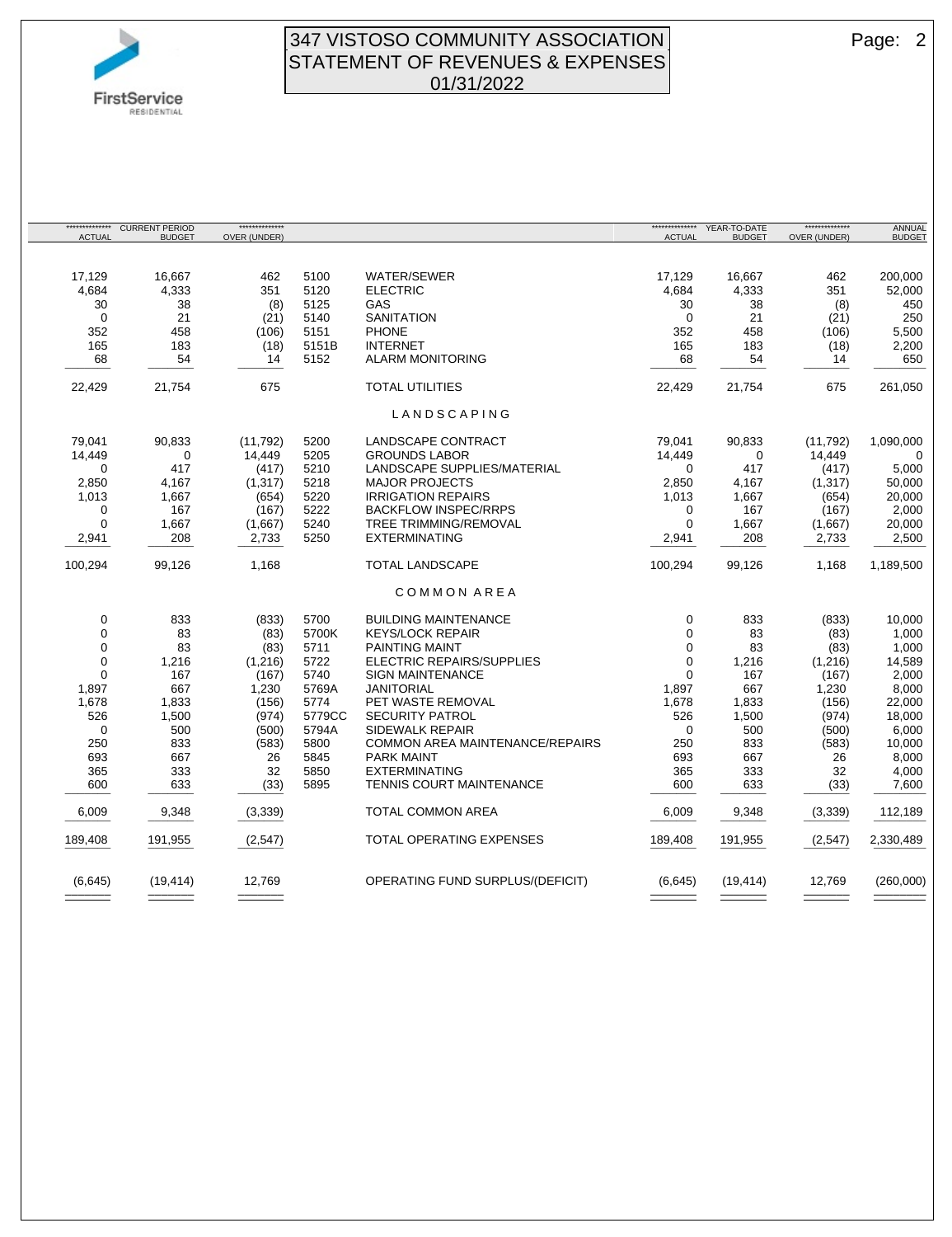

#### 347 VISTOSO COMMUNITY ASSOCIATION **Page: 2** STATEMENT OF REVENUES & EXPENSES 01/31/2022

\*\*\*\*\*\*\*\*\*\*\*\*\*\* ACTUAL CURRENT PERIOD **BUDGET**  \*\*\*\*\*\*\*\*\*\*\*\*\*\* OVER (UNDER) \*\*\*\*\*\*\*\*\*\*\*\*\*\* ACTUAL YEAR-TO-DATE **BUDGET** \*\*\*\*\*\*\*\*\*\*\*\*\*\* OVER (UNDER) ANNUAL **BUDGET** 17,129 16,667 462 5100 WATER/SEWER 17,129 16,667 462 200,000 4,684 4,333 351 5120 ELECTRIC 4,684 4,333 351 52,000 30 38 (8) 5125 GAS 30 38 (8) 450 0 21 (21) 5140 SANITATION 0 21 (21) 250 352 458 (106) 5151 PHONE 352 458 (106) 5,500 165 183 (18) 5151B INTERNET 165 183 (18) 2,200 68 54 14 5152 ALARM MONITORING 68 54 14 650 ¯¯¯¯¯¯¯ ¯¯¯¯¯¯¯ ¯¯¯¯¯¯¯ ¯¯¯¯¯¯¯ ¯¯¯¯¯¯¯ ¯¯¯¯¯¯¯ ¯¯¯¯¯¯¯¯ 22,429 21,754 675 TOTAL UTILITIES 22,429 21,754 675 261,050 L A N D S C A P I N G 79,041 90,833 (11,792) 5200 LANDSCAPE CONTRACT 79,041 90,833 (11,792) 1,090,000 14,449 0 14,449 5205 GROUNDS LABOR 14,449 0 14,449 0 0 417 (417) 5210 LANDSCAPE SUPPLIES/MATERIAL 0 417 (417) 5,000 2,850 4,167 (1,317) 5218 MAJOR PROJECTS 2,850 4,167 (1,317) 50,000 1,013 1,667 (654) 5220 IRRIGATION REPAIRS 1,013 1,667 (654) 20,000 0 167 (167) 5222 BACKFLOW INSPEC/RRPS 0 167 (167) 2,000 0 1,667 (1,667) 5240 TREE TRIMMING/REMOVAL 0 1,667 (1,667) 20,000 2,941 208 2,733 5250 EXTERMINATING 2,941 208 2,733 ¯¯¯¯¯¯¯ ¯¯¯¯¯¯¯ ¯¯¯¯¯¯¯ ¯¯¯¯¯¯¯ ¯¯¯¯¯¯¯ ¯¯¯¯¯¯¯ ¯¯¯¯¯¯¯¯ 100,294 99,126 1,168 TOTAL LANDSCAPE 100,294 99,126 1,168 1,189,500 C O M M O N A R E A 0 833 (833) 5700 BUILDING MAINTENANCE 0 833 (833) 10,000 0 83 (83) 5700K KEYS/LOCK REPAIR 0 83 (83) 1,000 PAINTING MAINT 0 1,216 (1,216) 5722 ELECTRIC REPAIRS/SUPPLIES 0 1,216 (1,216) 14,589 0 167 (167) 5740 SIGN MAINTENANCE 0 167 (167) 2,000 1,897 667 1,230 5769A JANITORIAL 1,897 667 1,230 8,000 1,678 1,833 (156) 5774 PET WASTE REMOVAL 1,678 1,833 (156) 22,000 526 1,500 (974) 5779CC SECURITY PATROL 526 1,500 (974) 18,000 0 500 (500) 5794A SIDEWALK REPAIR 0 500 (500) 6,000 250 833 (583) 5800 COMMON AREA MAINTENANCE/REPAIRS 250 833 (583) 10,000 693 667 26 5845 PARK MAINT 693 667 26 8,000 365 333 32 5850 EXTERMINATING 365 333 32 4,000 600 633 (33) 5895 TENNIS COURT MAINTENANCE 600 633 (33) 7,600 ¯¯¯¯¯¯¯ ¯¯¯¯¯¯¯ ¯¯¯¯¯¯¯ ¯¯¯¯¯¯¯ ¯¯¯¯¯¯¯ ¯¯¯¯¯¯¯ ¯¯¯¯¯¯¯¯ 6,009 9,348 (3,339) TOTAL COMMON AREA 6,009 9,348 (3,339) 112,189 ¯¯¯¯¯¯¯ ¯¯¯¯¯¯¯ ¯¯¯¯¯¯¯ ¯¯¯¯¯¯¯ ¯¯¯¯¯¯¯ ¯¯¯¯¯¯¯ ¯¯¯¯¯¯¯¯ 189,408 191,955 (2,547) TOTAL OPERATING EXPENSES 189,408 191,955 (2,547) 2,330,489 ¯¯¯¯¯¯¯ ¯¯¯¯¯¯¯ ¯¯¯¯¯¯¯ ¯¯¯¯¯¯¯ ¯¯¯¯¯¯¯ ¯¯¯¯¯¯¯ ¯¯¯¯¯¯¯¯ (6,645) (19,414) 12,769 OPERATING FUND SURPLUS/(DEFICIT) (6,645) (19,414) 12,769 (260,000) ––––––– ––––––– ––––––– ––––––– ––––––– ––––––– ––––––––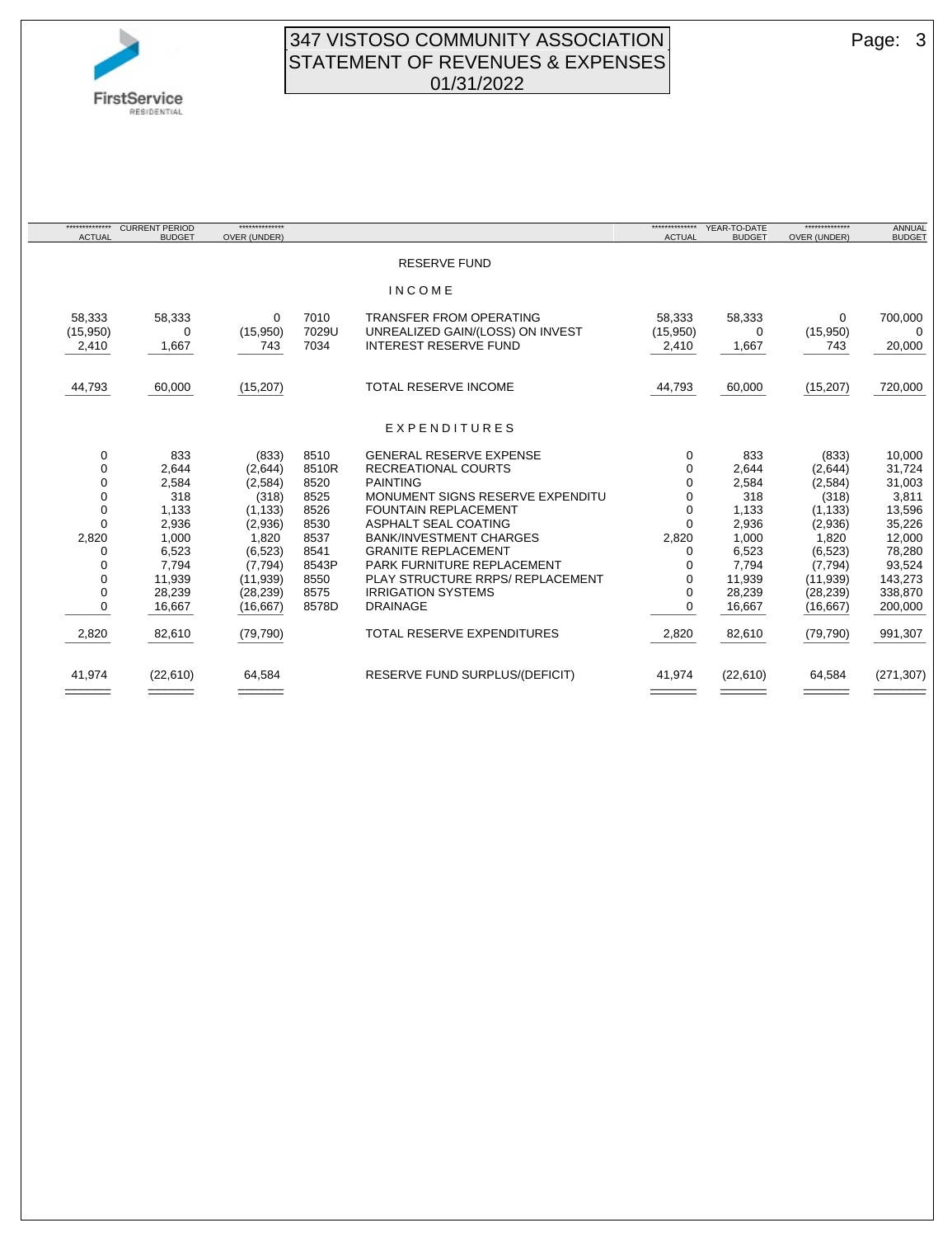

### 347 VISTOSO COMMUNITY ASSOCIATION Page: 3 STATEMENT OF REVENUES & EXPENSES 01/31/2022

| *************<br><b>ACTUAL</b> | <b>CURRENT PERIOD</b><br><b>BUDGET</b> | *************<br>OVER (UNDER) |       |                                       | *************<br><b>ACTUAL</b> | YEAR-TO-DATE<br><b>BUDGET</b> | **************<br>OVER (UNDER) | ANNUAL<br><b>BUDGET</b> |
|--------------------------------|----------------------------------------|-------------------------------|-------|---------------------------------------|--------------------------------|-------------------------------|--------------------------------|-------------------------|
|                                |                                        |                               |       |                                       |                                |                               |                                |                         |
|                                |                                        |                               |       | <b>RESERVE FUND</b>                   |                                |                               |                                |                         |
|                                |                                        |                               |       | <b>INCOME</b>                         |                                |                               |                                |                         |
| 58,333                         | 58,333                                 | 0                             | 7010  | <b>TRANSFER FROM OPERATING</b>        | 58.333                         | 58,333                        | $\mathbf 0$                    | 700,000                 |
| (15,950)                       | 0                                      | (15,950)                      | 7029U | UNREALIZED GAIN/(LOSS) ON INVEST      | (15,950)                       | $\Omega$                      | (15,950)                       | $\Omega$                |
| 2,410                          | 1,667                                  | 743                           | 7034  | <b>INTEREST RESERVE FUND</b>          | 2,410                          | 1,667                         | 743                            | 20,000                  |
| 44,793                         | 60,000                                 | (15, 207)                     |       | <b>TOTAL RESERVE INCOME</b>           | 44,793                         | 60,000                        | (15, 207)                      | 720,000                 |
|                                |                                        |                               |       |                                       |                                |                               |                                |                         |
|                                |                                        |                               |       | EXPENDITURES                          |                                |                               |                                |                         |
| 0                              | 833                                    | (833)                         | 8510  | <b>GENERAL RESERVE EXPENSE</b>        | $\Omega$                       | 833                           | (833)                          | 10,000                  |
| 0                              | 2,644                                  | (2,644)                       | 8510R | <b>RECREATIONAL COURTS</b>            | $\Omega$                       | 2,644                         | (2,644)                        | 31,724                  |
| 0                              | 2,584                                  | (2,584)                       | 8520  | <b>PAINTING</b>                       | 0                              | 2,584                         | (2, 584)                       | 31,003                  |
| 0                              | 318                                    | (318)                         | 8525  | MONUMENT SIGNS RESERVE EXPENDITU      | $\Omega$                       | 318                           | (318)                          | 3,811                   |
| $\Omega$                       | 1,133                                  | (1, 133)                      | 8526  | <b>FOUNTAIN REPLACEMENT</b>           | 0                              | 1,133                         | (1, 133)                       | 13,596                  |
| $\Omega$                       | 2,936                                  | (2,936)                       | 8530  | ASPHALT SEAL COATING                  | $\Omega$                       | 2,936                         | (2,936)                        | 35,226                  |
| 2,820                          | 1,000                                  | 1,820                         | 8537  | <b>BANK/INVESTMENT CHARGES</b>        | 2,820                          | 1,000                         | 1,820                          | 12,000                  |
| 0                              | 6,523                                  | (6, 523)                      | 8541  | <b>GRANITE REPLACEMENT</b>            | 0                              | 6,523                         | (6, 523)                       | 78,280                  |
|                                | 7,794                                  | (7, 794)                      | 8543P | PARK FURNITURE REPLACEMENT            |                                | 7,794                         | (7, 794)                       | 93,524                  |
| 0                              | 11,939                                 | (11, 939)                     | 8550  | PLAY STRUCTURE RRPS/ REPLACEMENT      | 0                              | 11,939                        | (11,939)                       | 143,273                 |
| 0                              | 28,239                                 | (28, 239)                     | 8575  | <b>IRRIGATION SYSTEMS</b>             | $\Omega$                       | 28,239                        | (28, 239)                      | 338,870                 |
| 0                              | 16,667                                 | (16, 667)                     | 8578D | <b>DRAINAGE</b>                       | 0                              | 16,667                        | (16, 667)                      | 200,000                 |
| 2,820                          | 82,610                                 | (79, 790)                     |       | <b>TOTAL RESERVE EXPENDITURES</b>     | 2,820                          | 82,610                        | (79, 790)                      | 991,307                 |
| 41,974                         | (22,610)                               | 64,584                        |       | <b>RESERVE FUND SURPLUS/(DEFICIT)</b> | 41,974                         | (22,610)                      | 64,584                         | (271, 307)              |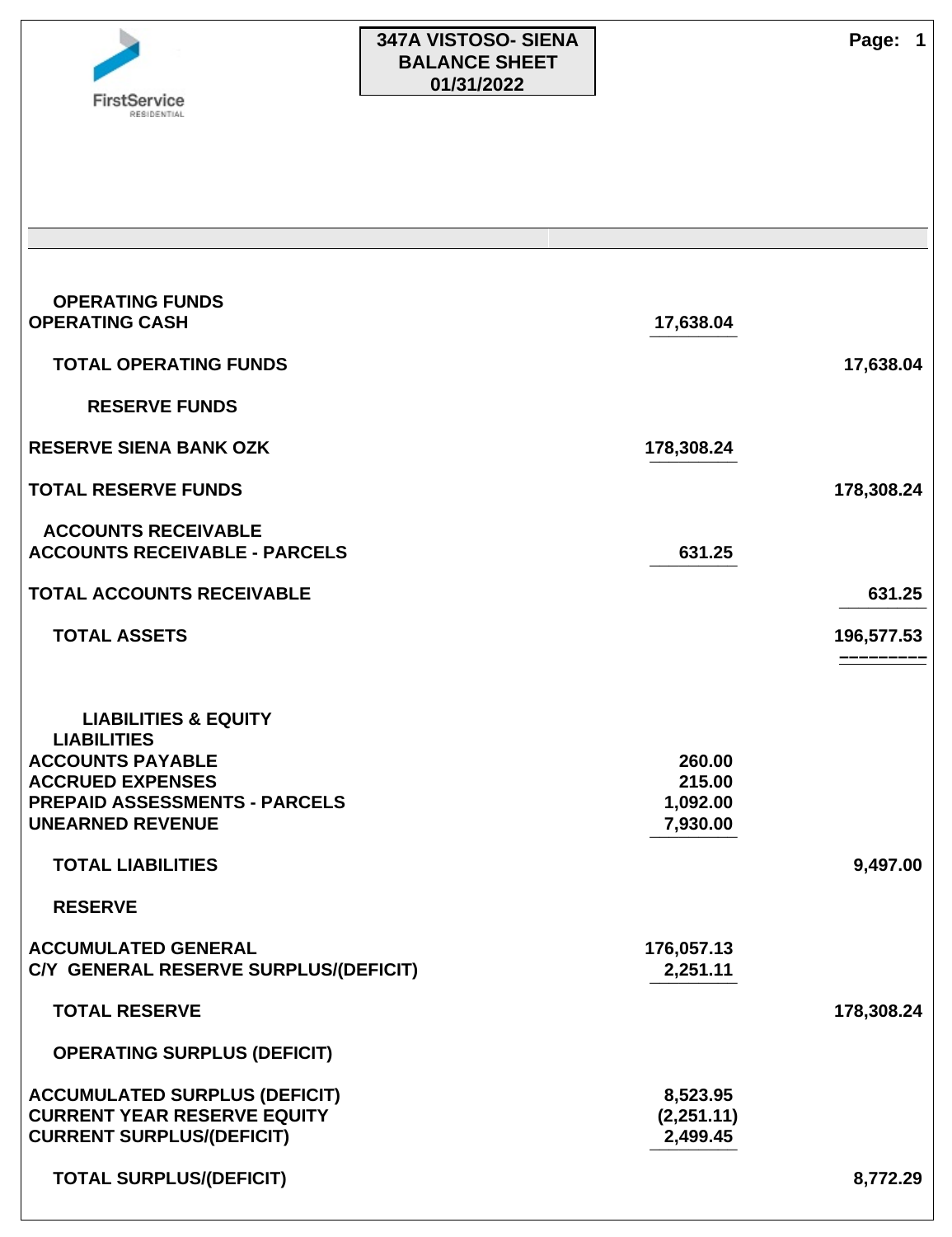

# **347A VISTOSO- SIENA Page: 1 BALANCE SHEET 01/31/2022**

| <b>OPERATING FUNDS</b><br><b>OPERATING CASH</b>                     | 17,638.04              |            |
|---------------------------------------------------------------------|------------------------|------------|
| <b>TOTAL OPERATING FUNDS</b>                                        |                        | 17,638.04  |
| <b>RESERVE FUNDS</b>                                                |                        |            |
| <b>RESERVE SIENA BANK OZK</b>                                       | 178,308.24             |            |
| <b>TOTAL RESERVE FUNDS</b>                                          |                        | 178,308.24 |
| <b>ACCOUNTS RECEIVABLE</b><br><b>ACCOUNTS RECEIVABLE - PARCELS</b>  | 631.25                 |            |
| <b>TOTAL ACCOUNTS RECEIVABLE</b>                                    |                        | 631.25     |
| <b>TOTAL ASSETS</b>                                                 |                        | 196,577.53 |
| <b>LIABILITIES &amp; EQUITY</b>                                     |                        |            |
| <b>LIABILITIES</b><br><b>ACCOUNTS PAYABLE</b>                       | 260.00                 |            |
| <b>ACCRUED EXPENSES</b>                                             | 215.00                 |            |
| <b>PREPAID ASSESSMENTS - PARCELS</b><br><b>UNEARNED REVENUE</b>     | 1,092.00<br>7,930.00   |            |
|                                                                     |                        |            |
| <b>TOTAL LIABILITIES</b>                                            |                        | 9,497.00   |
| <b>RESERVE</b>                                                      |                        |            |
| <b>ACCUMULATED GENERAL</b><br>C/Y GENERAL RESERVE SURPLUS/(DEFICIT) | 176,057.13<br>2,251.11 |            |
| <b>TOTAL RESERVE</b>                                                |                        | 178,308.24 |
| <b>OPERATING SURPLUS (DEFICIT)</b>                                  |                        |            |
| <b>ACCUMULATED SURPLUS (DEFICIT)</b>                                | 8,523.95               |            |
| <b>CURRENT YEAR RESERVE EQUITY</b>                                  | (2,251.11)             |            |
| <b>CURRENT SURPLUS/(DEFICIT)</b>                                    | 2,499.45               |            |
| <b>TOTAL SURPLUS/(DEFICIT)</b>                                      |                        | 8,772.29   |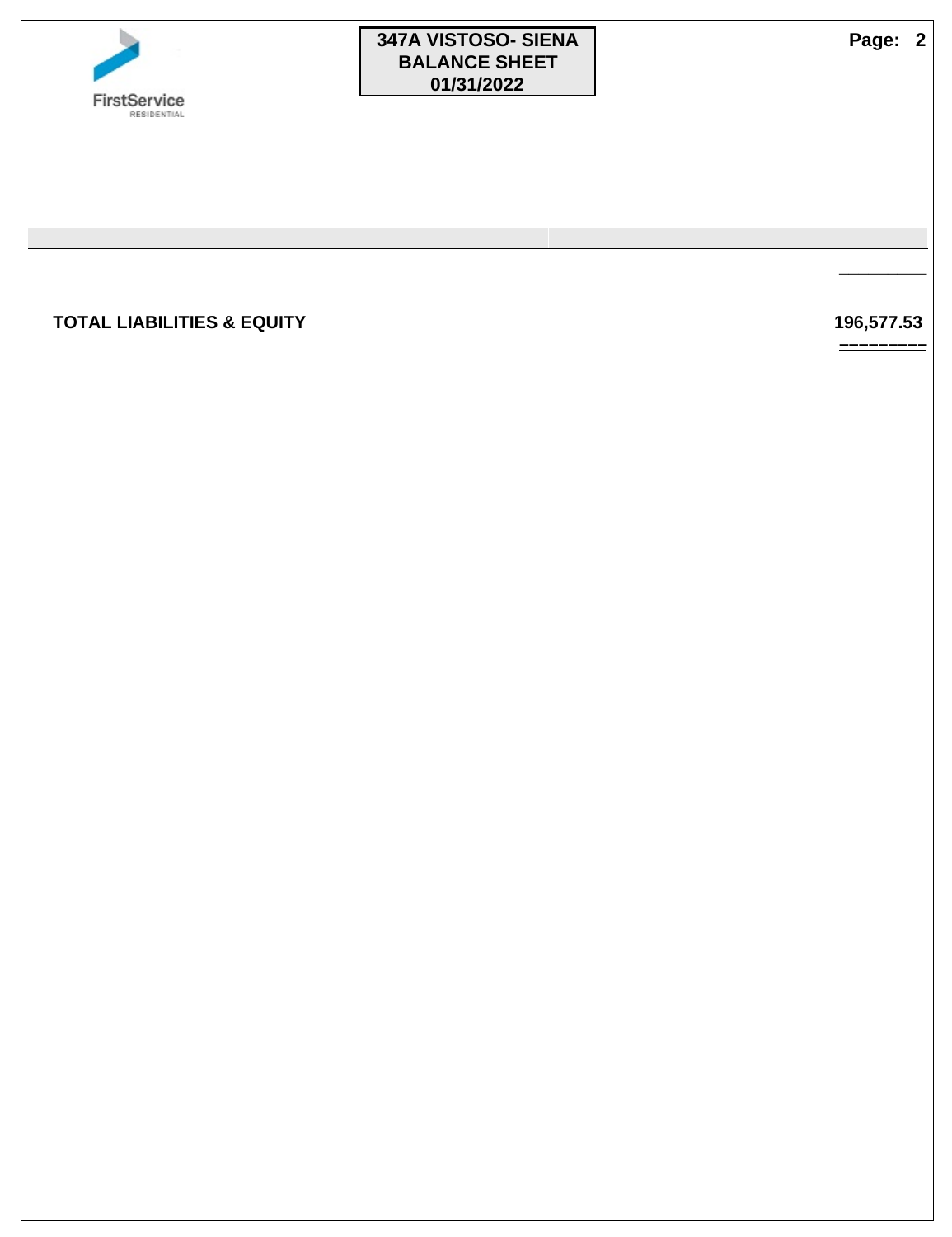

# **347A VISTOSO- SIENA Page: 2 BALANCE SHEET 01/31/2022**

 **TOTAL LIABILITIES & EQUITY 196,577.53** 

**¯¯¯¯¯¯¯¯¯**

**–––––––––**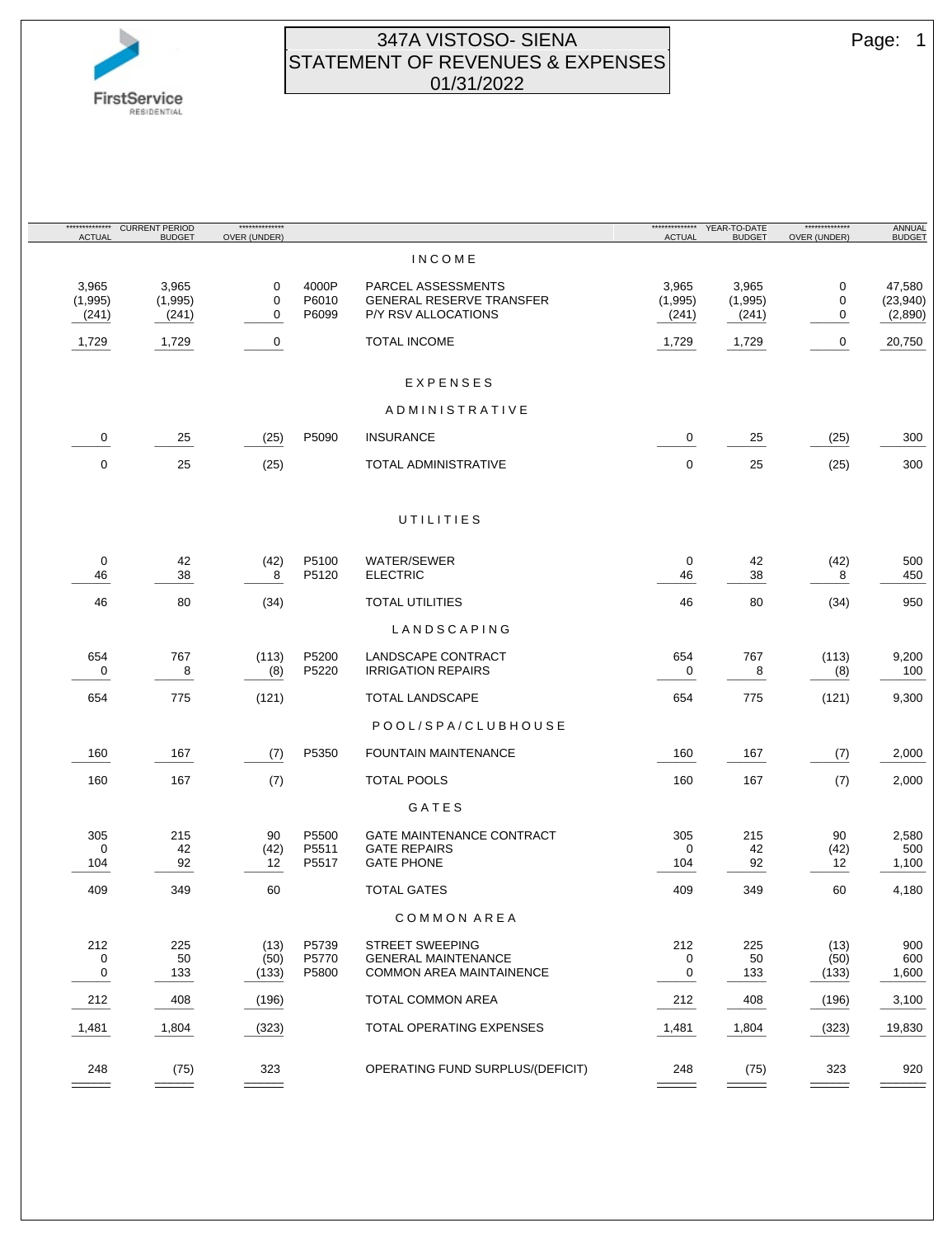

### 347A VISTOSO- SIENA Page: 1 STATEMENT OF REVENUES & EXPENSES 01/31/2022

| <b>ACTUAL</b>  | ************** CURRENT PERIOD<br><b>BUDGET</b> | **************<br>OVER (UNDER) |       |                                  | <b>ACTUAL</b>      | <b>BUDGET</b>                  | ***************<br>OVER (UNDER) | ANNUAL<br><b>BUDGET</b> |
|----------------|------------------------------------------------|--------------------------------|-------|----------------------------------|--------------------|--------------------------------|---------------------------------|-------------------------|
|                |                                                |                                |       | <b>INCOME</b>                    |                    |                                |                                 |                         |
| 3,965          | 3,965                                          | 0                              | 4000P | PARCEL ASSESSMENTS               | 3,965              | 3,965                          | 0                               | 47,580                  |
| (1,995)        | (1,995)                                        | 0                              | P6010 | <b>GENERAL RESERVE TRANSFER</b>  | (1,995)            | (1,995)                        | 0                               | (23, 940)               |
| (241)          | (241)                                          | 0                              | P6099 | P/Y RSV ALLOCATIONS              | (241)              | (241)                          | 0                               | (2,890)                 |
| 1,729          | 1,729                                          | 0                              |       | <b>TOTAL INCOME</b>              | 1,729              | 1,729                          | 0                               | 20,750                  |
|                |                                                |                                |       | EXPENSES                         |                    |                                |                                 |                         |
|                |                                                |                                |       | ADMINISTRATIVE                   |                    |                                |                                 |                         |
| 0              | 25                                             | (25)                           | P5090 | <b>INSURANCE</b>                 | 0                  | 25                             | (25)                            | 300                     |
|                |                                                |                                |       |                                  |                    |                                |                                 |                         |
| 0              | 25                                             | (25)                           |       | TOTAL ADMINISTRATIVE             | 0                  | 25                             | (25)                            | 300                     |
|                |                                                |                                |       | UTILITIES                        |                    |                                |                                 |                         |
|                |                                                |                                |       |                                  |                    |                                |                                 |                         |
| 0              | 42                                             | (42)                           | P5100 | <b>WATER/SEWER</b>               | 0                  | 42                             | (42)                            | 500                     |
| 46             | 38                                             | 8                              | P5120 | <b>ELECTRIC</b>                  | 46                 | 38                             | 8<br>$=$ $-$                    | 450                     |
| 46             | 80                                             | (34)                           |       | <b>TOTAL UTILITIES</b>           | 46                 | 80                             | (34)                            | 950                     |
|                |                                                |                                |       | LANDSCAPING                      |                    |                                |                                 |                         |
| 654            | 767                                            | (113)                          | P5200 | LANDSCAPE CONTRACT               | 654                | 767                            | (113)                           | 9,200                   |
| 0<br>$- - -$   | 8<br>$=$ $-$                                   | (8)                            | P5220 | <b>IRRIGATION REPAIRS</b>        | 0<br>$- - -$       | 8<br>$- - -$                   | (8)                             | 100                     |
| 654            | 775                                            | (121)                          |       | <b>TOTAL LANDSCAPE</b>           | 654                | 775                            | (121)                           | 9,300                   |
|                |                                                |                                |       | POOL/SPA/CLUBHOUSE               |                    |                                |                                 |                         |
| 160            | 167                                            | (7)                            | P5350 | <b>FOUNTAIN MAINTENANCE</b>      | 160                | 167                            | (7)                             | 2,000                   |
| 160            | 167                                            | (7)                            |       | TOTAL POOLS                      | 160                | 167                            | (7)                             | 2,000                   |
|                |                                                |                                |       | GATES                            |                    |                                |                                 |                         |
| 305            | 215                                            | 90                             | P5500 | <b>GATE MAINTENANCE CONTRACT</b> | 305                | 215                            | 90                              | 2,580                   |
| 0              | 42                                             | (42)                           | P5511 | <b>GATE REPAIRS</b>              | 0                  | 42                             | (42)                            | 500                     |
| 104<br>$- - -$ | 92<br>---                                      | 12<br>---                      | P5517 | <b>GATE PHONE</b>                | 104                | 92<br>$\overline{\phantom{a}}$ | 12<br>.                         | 1,100                   |
| 409            | 349                                            | 60                             |       | <b>TOTAL GATES</b>               | 409                | 349                            | 60                              | 4,180                   |
|                |                                                |                                |       | COMMON AREA                      |                    |                                |                                 |                         |
| 212            | 225                                            | (13)                           | P5739 | STREET SWEEPING                  | 212                | 225                            | (13)                            | 900                     |
| 0              | 50                                             | (50)                           | P5770 | <b>GENERAL MAINTENANCE</b>       | 0                  | 50                             | (50)                            | 600                     |
| 0              | 133                                            | (133)                          | P5800 | <b>COMMON AREA MAINTAINENCE</b>  | 0                  | 133                            | (133)                           | 1,600                   |
| 212<br>----    | 408<br>------                                  | (196)                          |       | <b>TOTAL COMMON AREA</b>         | 212<br>$- - - - -$ | 408<br>------                  | (196)                           | 3,100                   |
| 1,481          | 1,804                                          | (323)                          |       | TOTAL OPERATING EXPENSES         | 1,481              | 1,804                          | (323)                           | 19,830                  |
|                |                                                |                                |       |                                  |                    |                                |                                 |                         |
| 248            | (75)                                           | 323                            |       | OPERATING FUND SURPLUS/(DEFICIT) | 248                | (75)                           | 323                             | 920                     |
|                |                                                |                                |       |                                  |                    |                                |                                 |                         |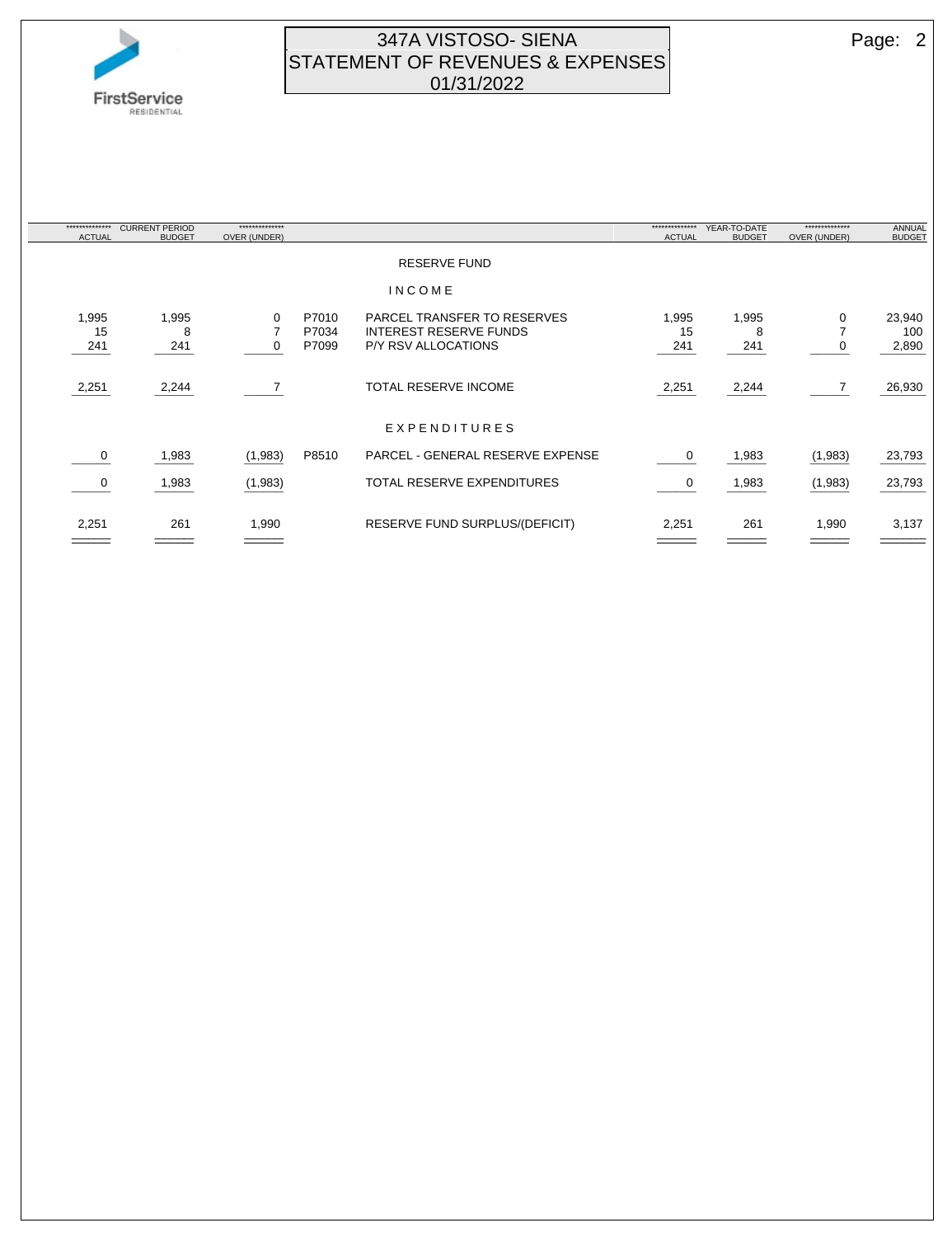

## 347A VISTOSO- SIENA Page: 2 STATEMENT OF REVENUES & EXPENSES 01/31/2022

| ************** | <b>CURRENT PERIOD</b> | ************** |       |                                         | ************** | YEAR-TO-DATE  | ************** | <b>ANNUAL</b> |
|----------------|-----------------------|----------------|-------|-----------------------------------------|----------------|---------------|----------------|---------------|
| <b>ACTUAL</b>  | <b>BUDGET</b>         | OVER (UNDER)   |       |                                         | <b>ACTUAL</b>  | <b>BUDGET</b> | OVER (UNDER)   | <b>BUDGET</b> |
|                |                       |                |       | <b>RESERVE FUND</b>                     |                |               |                |               |
|                |                       |                |       | INCOME                                  |                |               |                |               |
| 1,995          | 1,995                 | 0              | P7010 | PARCEL TRANSFER TO RESERVES             | 1,995          | 1,995         | 0              | 23,940        |
| 15             | 8                     |                | P7034 | <b>INTEREST RESERVE FUNDS</b>           | 15             | 8             |                | 100           |
| 241            | 241                   | 0              | P7099 | P/Y RSV ALLOCATIONS                     | 241            | 241           | 0              | 2,890         |
|                |                       |                |       |                                         |                |               |                |               |
| 2,251          | 2,244                 |                |       | <b>TOTAL RESERVE INCOME</b>             | 2,251          | 2,244         | $\overline{7}$ | 26,930        |
|                |                       |                |       | EXPENDITURES                            |                |               |                |               |
| 0              | 1,983                 | (1,983)        | P8510 | <b>PARCEL - GENERAL RESERVE EXPENSE</b> | 0              | 1,983         | (1,983)        | 23,793        |
| 0              | 1,983                 | (1,983)        |       | <b>TOTAL RESERVE EXPENDITURES</b>       | 0              | 1,983         | (1,983)        | 23,793        |
| 2,251          | 261                   | 1,990          |       | RESERVE FUND SURPLUS/(DEFICIT)          | 2,251          | 261           | 1,990          | 3,137         |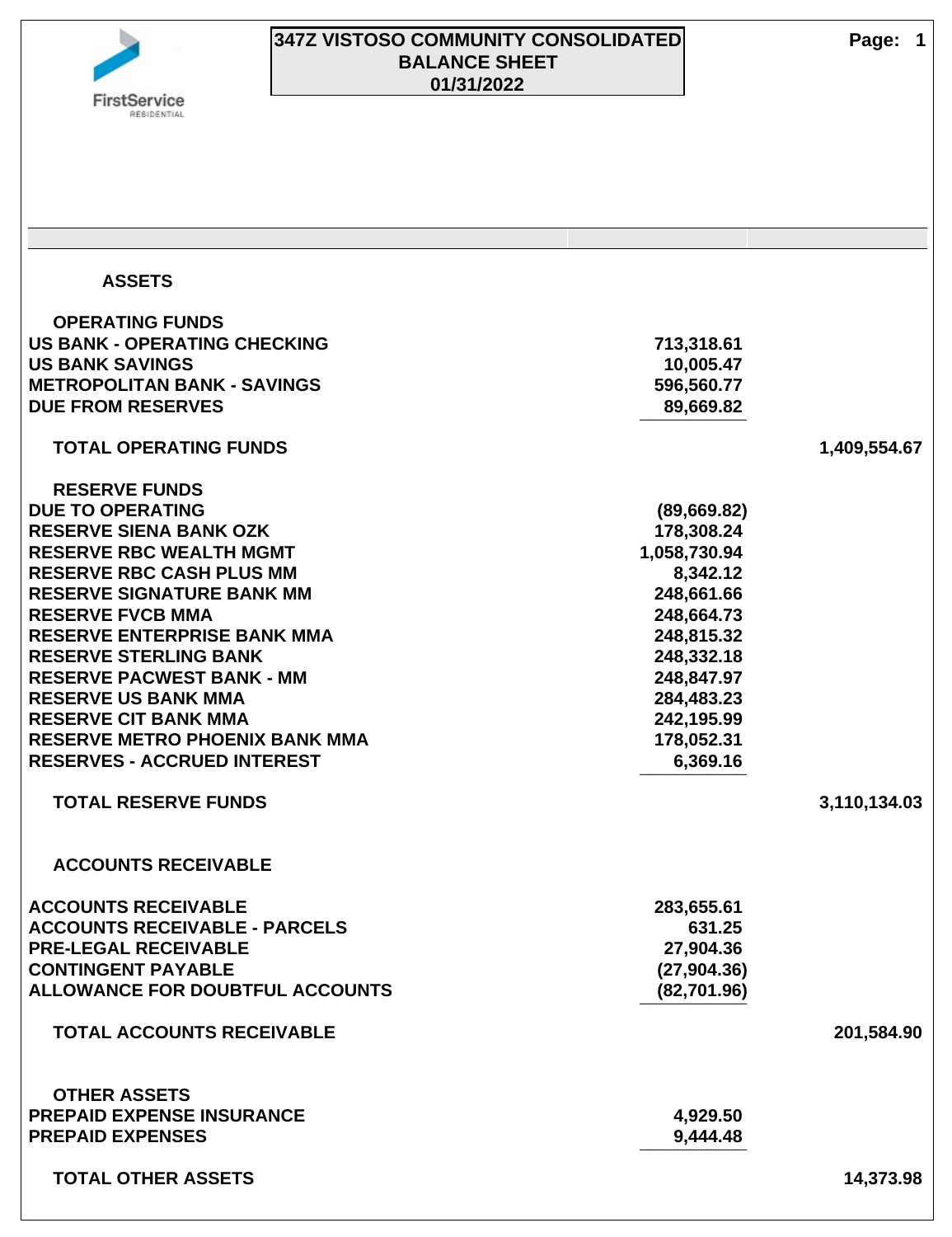

| <b>ASSETS</b>                          |              |              |
|----------------------------------------|--------------|--------------|
| <b>OPERATING FUNDS</b>                 |              |              |
| <b>US BANK - OPERATING CHECKING</b>    | 713,318.61   |              |
| <b>US BANK SAVINGS</b>                 | 10,005.47    |              |
| <b>METROPOLITAN BANK - SAVINGS</b>     | 596,560.77   |              |
| <b>DUE FROM RESERVES</b>               | 89,669.82    |              |
| <b>TOTAL OPERATING FUNDS</b>           |              | 1,409,554.67 |
| <b>RESERVE FUNDS</b>                   |              |              |
| <b>DUE TO OPERATING</b>                | (89,669.82)  |              |
| <b>RESERVE SIENA BANK OZK</b>          | 178,308.24   |              |
| <b>RESERVE RBC WEALTH MGMT</b>         | 1,058,730.94 |              |
| <b>RESERVE RBC CASH PLUS MM</b>        | 8,342.12     |              |
| <b>RESERVE SIGNATURE BANK MM</b>       | 248,661.66   |              |
| <b>RESERVE FVCB MMA</b>                | 248,664.73   |              |
| <b>RESERVE ENTERPRISE BANK MMA</b>     | 248,815.32   |              |
| <b>RESERVE STERLING BANK</b>           | 248,332.18   |              |
| <b>RESERVE PACWEST BANK - MM</b>       | 248,847.97   |              |
| <b>RESERVE US BANK MMA</b>             | 284,483.23   |              |
| <b>RESERVE CIT BANK MMA</b>            | 242,195.99   |              |
| <b>RESERVE METRO PHOENIX BANK MMA</b>  | 178,052.31   |              |
| <b>RESERVES - ACCRUED INTEREST</b>     | 6,369.16     |              |
| <b>TOTAL RESERVE FUNDS</b>             |              | 3,110,134.03 |
| <b>ACCOUNTS RECEIVABLE</b>             |              |              |
| <b>ACCOUNTS RECEIVABLE</b>             | 283,655.61   |              |
| <b>ACCOUNTS RECEIVABLE - PARCELS</b>   | 631.25       |              |
| <b>PRE-LEGAL RECEIVABLE</b>            | 27,904.36    |              |
| <b>CONTINGENT PAYABLE</b>              | (27, 904.36) |              |
| <b>ALLOWANCE FOR DOUBTFUL ACCOUNTS</b> | (82,701.96)  |              |
| <b>TOTAL ACCOUNTS RECEIVABLE</b>       |              | 201,584.90   |
| <b>OTHER ASSETS</b>                    |              |              |
| <b>PREPAID EXPENSE INSURANCE</b>       | 4,929.50     |              |
| <b>PREPAID EXPENSES</b>                | 9,444.48     |              |
| <b>TOTAL OTHER ASSETS</b>              |              | 14,373.98    |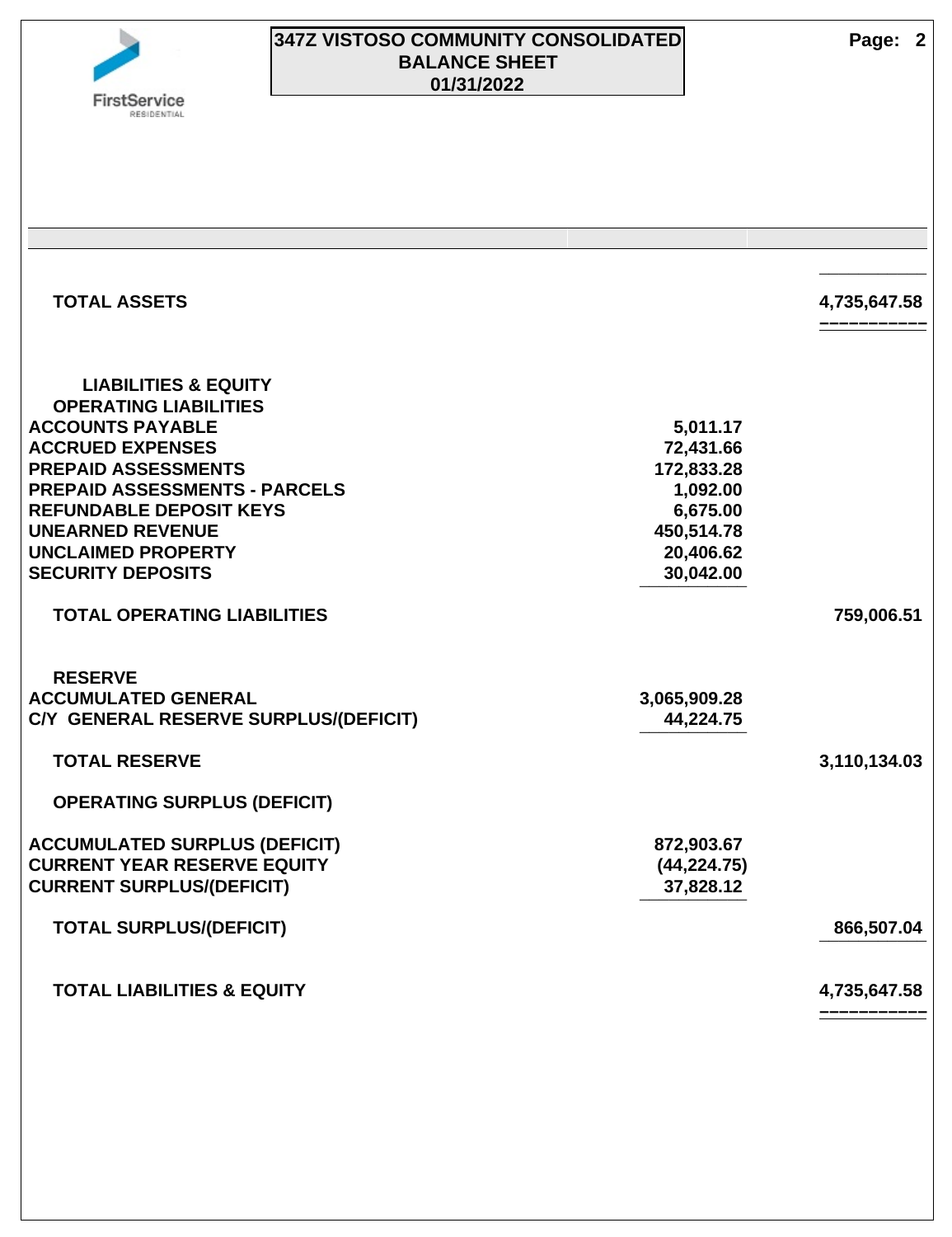

# **347Z VISTOSO COMMUNITY CONSOLIDATED Page: 2 BALANCE SHEET 01/31/2022**

| <b>TOTAL ASSETS</b>                                                                                                                                                                                                                                                                                               |                                                                                                     | 4,735,647.58 |
|-------------------------------------------------------------------------------------------------------------------------------------------------------------------------------------------------------------------------------------------------------------------------------------------------------------------|-----------------------------------------------------------------------------------------------------|--------------|
| <b>LIABILITIES &amp; EQUITY</b><br><b>OPERATING LIABILITIES</b><br><b>ACCOUNTS PAYABLE</b><br><b>ACCRUED EXPENSES</b><br><b>PREPAID ASSESSMENTS</b><br><b>PREPAID ASSESSMENTS - PARCELS</b><br><b>REFUNDABLE DEPOSIT KEYS</b><br><b>UNEARNED REVENUE</b><br><b>UNCLAIMED PROPERTY</b><br><b>SECURITY DEPOSITS</b> | 5,011.17<br>72,431.66<br>172,833.28<br>1,092.00<br>6,675.00<br>450,514.78<br>20,406.62<br>30,042.00 |              |
| <b>TOTAL OPERATING LIABILITIES</b>                                                                                                                                                                                                                                                                                |                                                                                                     | 759,006.51   |
| <b>RESERVE</b><br><b>ACCUMULATED GENERAL</b><br>C/Y GENERAL RESERVE SURPLUS/(DEFICIT)                                                                                                                                                                                                                             | 3,065,909.28<br>44,224.75                                                                           |              |
| <b>TOTAL RESERVE</b>                                                                                                                                                                                                                                                                                              |                                                                                                     | 3,110,134.03 |
| <b>OPERATING SURPLUS (DEFICIT)</b>                                                                                                                                                                                                                                                                                |                                                                                                     |              |
| <b>ACCUMULATED SURPLUS (DEFICIT)</b><br><b>CURRENT YEAR RESERVE EQUITY</b><br><b>CURRENT SURPLUS/(DEFICIT)</b>                                                                                                                                                                                                    | 872,903.67<br>(44, 224.75)<br>37,828.12                                                             |              |
| <b>TOTAL SURPLUS/(DEFICIT)</b>                                                                                                                                                                                                                                                                                    |                                                                                                     | 866,507.04   |
| <b>TOTAL LIABILITIES &amp; EQUITY</b>                                                                                                                                                                                                                                                                             |                                                                                                     | 4,735,647.58 |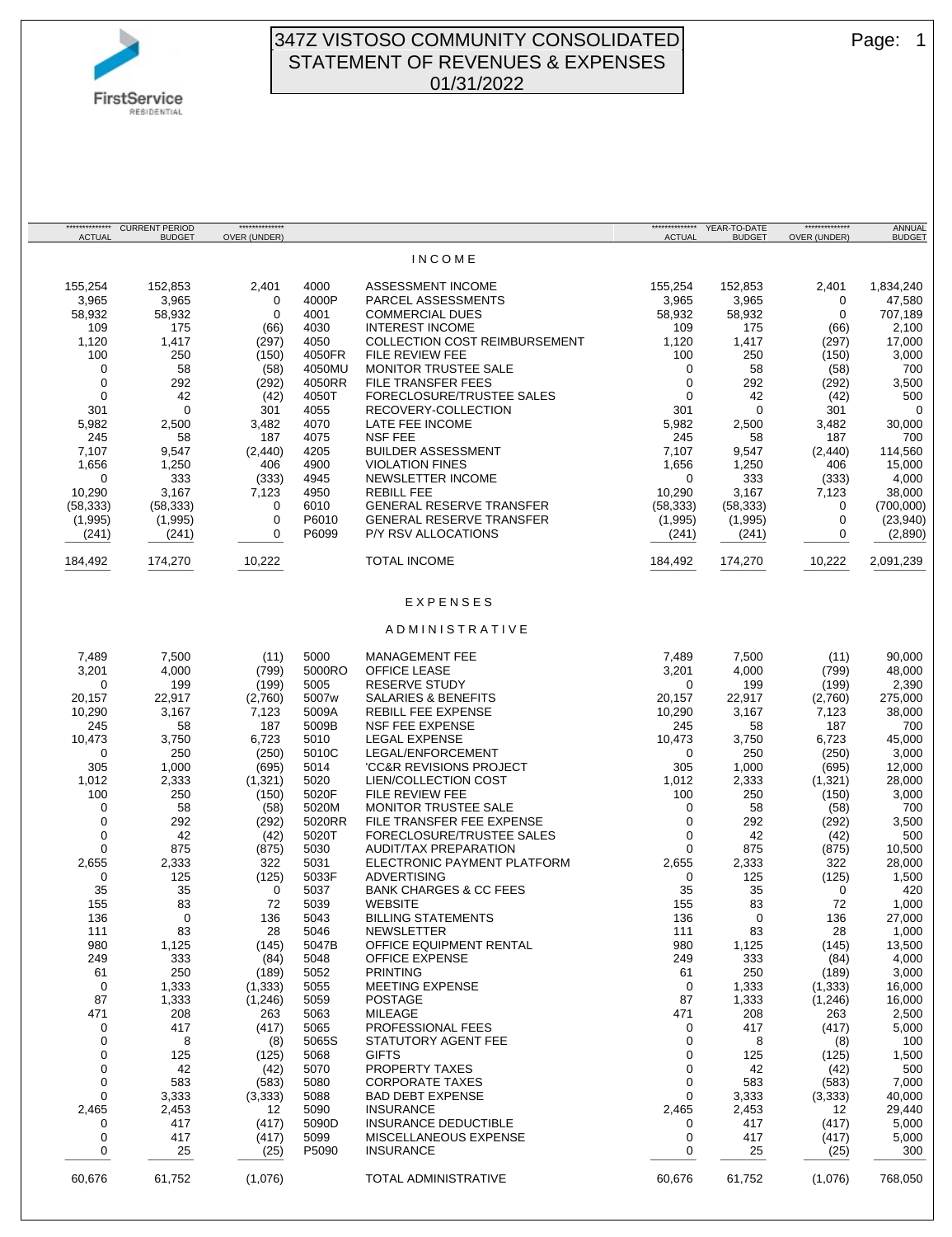

CURRENT PERIOD **BUDGET** 

\*\*\*\*\*\*\*\*\*\*\*\*\*\* OVER (UNDER)

\*\*\*\*\*\*\*\*\*\*\*\*\*\* ACTUAL

#### 347Z VISTOSO COMMUNITY CONSOLIDATED | Page: 1 STATEMENT OF REVENUES & EXPENSES 01/31/2022

I N C O M E

\*\*\*\*\*\*\*\*\*\*\*\*\*\* ACTUAL

YEAR-TO-DATE **BUDGET** 

\*\*\*\*\*\*\*\*\*\*\*\*\*\* OVER (UNDER)

155,254 152,853 2,401 4000 ASSESSMENT INCOME 155,254 152,853 2,401 1,834,240 3,965 3,965 0 4000P PARCEL ASSESSMENTS 3,965 3,965 0 47,580 58,932 58,932 0 4001 COMMERCIAL DUES 58,932 58,932 0 707,189 109 175 (66) 4030 INTEREST INCOME 109 175 (66) 2,100 1,120 1,417 (297) 4050 COLLECTION COST REIMBURSEMENT 1,120 1,417 (297) 17,000 100 250 (150) 4050FR FILE REVIEW FEE 100 250 (150) 3,000 0 58 (58) 4050MU MONITOR TRUSTEE SALE 0 58 (58) 700 0 292 (292) 4050RR FILE TRANSFER FEES 0<br>0 42 (42) 4050T FORECLOSURE/TRUSTEE SALES 0 0 42 (42) 4050T FORECLOSURE/TRUSTEE SALES 0 42 (42) 500 301 0 301 4055 RECOVERY-COLLECTION 301 0 301 0 5,982 2,500 3,482 4070 LATE FEE INCOME 5,982 2,500 3,482 30,000 245 58 187 4075 NSF FEE 245 58 187 700 7,107 9,547 (2,440) 4205 BUILDER ASSESSMENT 7,107 9,547 (2,440) 114,560 1,656 1,250 406 4900 VIOLATION FINES 1,656 1,250 406 15,000 0 333 (333) 4945 NEWSLETTER INCOME 10.290 3.167 7.123 4950 REBILL FEE 10,290 3,167 7,123 4950 REBILL FEE 10,290 3,167 7,123 38,000 (58,333) (58,333) 0 6010 GENERAL RESERVE TRANSFER (58,333) (58,333) 0 (700,000) (1,995) (1,995) 0 P6010 GENERAL RESERVE TRANSFER (1,995) (1,995)<br>(241) (241) 0 P6099 P/Y RSV ALLOCATIONS (241) (241) (241) (241) (241) 0 P6099 P/Y RSV ALLOCATIONS (241) (241) 0 (2,890) ¯¯¯¯¯¯¯ ¯¯¯¯¯¯¯ ¯¯¯¯¯¯¯ ¯¯¯¯¯¯¯ ¯¯¯¯¯¯¯ ¯¯¯¯¯¯¯ ¯¯¯¯¯¯¯¯ 184,492 174,270 10,222 TOTAL INCOME 184,492 174,270 10,222 2,091,239 ¯¯¯¯¯¯¯ ¯¯¯¯¯¯¯ ¯¯¯¯¯¯¯ ¯¯¯¯¯¯¯ ¯¯¯¯¯¯¯ ¯¯¯¯¯¯¯ ¯¯¯¯¯¯¯¯ E X P E N S E S A D M I N I S T R A T I V E 7,489 7,500 (11) 5000 MANAGEMENT FEE 7,489 7,500 (11) 90,000 3,201 4,000 (799) 5000RO OFFICE LEASE 3,201 4,000 (799) 48,000 0 199 (199) 5005 RESERVE STUDY 0 199 (199) 2,390 20,157 22,917 (2,760) 5007w SALARIES & BENEFITS 20,157 22,917 (2,760) 275,000 10,290 3,167 7,123 5009A REBILL FEE EXPENSE 10,290 3,167 7,123 38,000 245 58 187 5009B NSF FEE EXPENSE 245 58 187 700 10,473 3,750 6,723 5010 LEGAL EXPENSE 10,473 3,750 6,723 45,000 0 250 (250) 5010C LEGAL/ENFORCEMENT 0 250 (250) 3,000<br>105 1,000 (695) 5014 'CC&R REVISIONS PROJECT 305 1,000 (695) 12,000 'CC&R REVISIONS PROJECT 1,012 2,333 (1,321) 5020 LIEN/COLLECTION COST 1,012 2,333 (1,321) 28,000 100 250 (150) 5020F FILE REVIEW FEE 100 250 (150) 3,000 0 58 (58) 5020M MONITOR TRUSTEE SALE 0 58 (58) 700 PILE TRANSFER FEE EXPENSE 0 292 (292) 3,500 0 42 (42) 5020T FORECLOSURE/TRUSTEE SALES 0 42 (42) 500 0 875 (875) 5030 AUDIT/TAX PREPARATION 0 875 (875) 10,500 2,655 2,333 322 5031 ELECTRONIC PAYMENT PLATFORM 2,655 2,333 322 28,000 0 125 (125) 5033F ADVERTISING 0 125 (125) 1,500 35 35 0 5037 BANK CHARGES & CC FEES 35 35 0 420 155 83 72 5039 WEBSITE 155 83 72 1,000 136 0 136 5043 BILLING STATEMENTS 136 0 136 27,000 111 83 28 5046 NEWSLETTER 111 83 28 1,000 980 1,125 (145) 5047B OFFICE EQUIPMENT RENTAL 980 1,125 (145) 13,500 249 333 (84) 5048 OFFICE EXPENSE 249 333 (84) 4,000 61 250 (189) 5052 PRINTING 61 250 (189) 3,000 0 1,333 (1,333) 5055 MEETING EXPENSE 0 1,333 (1,333) 16,000 87 1,333 (1,246) 5059 POSTAGE 87 1,333 (1,246) 16,000 471 208 263 5063 MILEAGE 471 208 263 2,500 0 417 (417) 5065 PROFESSIONAL FEES 0 417 (417) 5.000 0 8 (8) 5065S STATUTORY AGENT FEE 0 8 (8) 100 0 125 (125) 5068 GIFTS 0 125 (125) 1,500 0 42 (42) 5070 PROPERTY TAXES 0 42 (42) 500 0 583 (583) 5080 CORPORATE TAXES 0 583 (583) 7,000 0 3,333 (3,333) 5088 BAD DEBT EXPENSE 0 3,333 (3,333) 40,000 2,465 2,453 12 5090 INSURANCE 2,465 2,453 12 29,440 0 117 (417) 5090D INSURANCE DEDUCTIBLE 198000 10 1417 (417) 5,000<br>0 117 (417) 5099 MISCELLANEOUS EXPENSE 1980 1417 (417) 5,000 0 417 (417) 5099 MISCELLANEOUS EXPENSE 0 417 (417) 5,000 0 25 (25) P5090 INSURANCE 0 25 (25) 300 ¯¯¯¯¯¯¯ ¯¯¯¯¯¯¯ ¯¯¯¯¯¯¯ ¯¯¯¯¯¯¯ ¯¯¯¯¯¯¯ ¯¯¯¯¯¯¯ ¯¯¯¯¯¯¯¯ 60,676 61,752 (1,076) TOTAL ADMINISTRATIVE 60,676 61,752 (1,076) 768,050

 ANNUAL **BUDGET**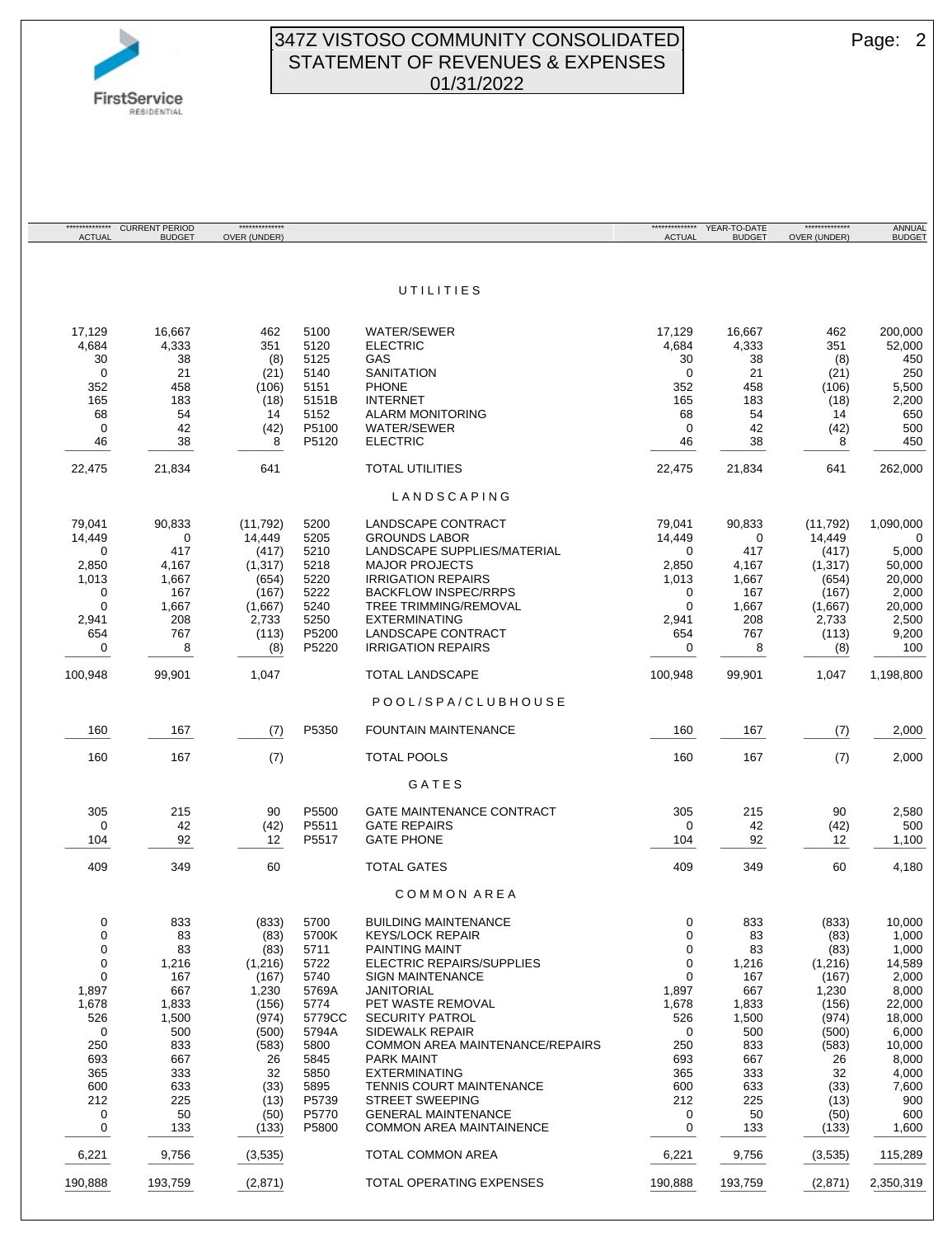

#### 347Z VISTOSO COMMUNITY CONSOLIDATED Page: 2 STATEMENT OF REVENUES & EXPENSES 01/31/2022

| ANNUAL<br><b>BUDGET</b> | **************<br>OVER (UNDER) | YEAR-TO-DATE<br><b>BUDGET</b> | *************<br><b>ACTUAL</b> |                                                      |              | **************<br>OVER (UNDER) | <b>CURRENT PERIOD</b><br><b>BUDGET</b> | *************<br><b>ACTUAL</b> |
|-------------------------|--------------------------------|-------------------------------|--------------------------------|------------------------------------------------------|--------------|--------------------------------|----------------------------------------|--------------------------------|
|                         |                                |                               |                                |                                                      |              |                                |                                        |                                |
|                         |                                |                               |                                | UTILITIES                                            |              |                                |                                        |                                |
| 200,000                 | 462                            | 16,667                        | 17,129                         | <b>WATER/SEWER</b>                                   | 5100         | 462                            | 16,667                                 | 17,129                         |
| 52,000                  | 351                            | 4,333                         | 4,684                          | <b>ELECTRIC</b>                                      | 5120         | 351                            | 4,333                                  | 4,684                          |
| 450                     | (8)                            | 38                            | 30                             | GAS                                                  | 5125         | (8)                            | 38                                     | 30                             |
| 250                     | (21)                           | 21                            | $\mathbf 0$                    | <b>SANITATION</b>                                    | 5140         | (21)                           | 21                                     | $\Omega$                       |
| 5,500                   | (106)                          | 458                           | 352                            | <b>PHONE</b>                                         | 5151         | (106)                          | 458                                    | 352                            |
| 2,200                   | (18)                           | 183                           | 165                            | <b>INTERNET</b>                                      | 5151B        | (18)                           | 183                                    | 165                            |
| 650                     | 14                             | 54                            | 68                             | <b>ALARM MONITORING</b>                              | 5152         | 14                             | 54                                     | 68                             |
| 500                     | (42)                           | 42                            | $\mathbf 0$                    | WATER/SEWER                                          | P5100        | (42)                           | 42                                     | $\mathbf 0$                    |
| 450                     | 8                              | 38                            | 46                             | <b>ELECTRIC</b>                                      | P5120        | 8                              | 38                                     | 46                             |
| 262,000                 | 641                            | 21,834                        | 22,475                         | <b>TOTAL UTILITIES</b>                               |              | 641                            | 21,834                                 | 22,475                         |
|                         |                                |                               |                                | LANDSCAPING                                          |              |                                |                                        |                                |
| 1,090,000               | (11, 792)                      | 90,833                        | 79,041                         | LANDSCAPE CONTRACT                                   | 5200         | (11, 792)                      | 90,833                                 | 79,041                         |
| $\Omega$                | 14,449                         | 0                             | 14,449                         | <b>GROUNDS LABOR</b>                                 | 5205         | 14,449                         | $\mathbf 0$                            | 14,449<br>$\Omega$             |
| 5,000<br>50,000         | (417)<br>(1, 317)              | 417<br>4,167                  | 0<br>2,850                     | LANDSCAPE SUPPLIES/MATERIAL<br><b>MAJOR PROJECTS</b> | 5210<br>5218 | (417)<br>(1, 317)              | 417<br>4,167                           | 2,850                          |
| 20,000                  | (654)                          | 1,667                         | 1,013                          | <b>IRRIGATION REPAIRS</b>                            | 5220         | (654)                          | 1,667                                  | 1,013                          |
| 2,000                   | (167)                          | 167                           | 0                              | <b>BACKFLOW INSPEC/RRPS</b>                          | 5222         | (167)                          | 167                                    | $\mathbf 0$                    |
| 20,000                  | (1,667)                        | 1,667                         | $\mathbf 0$                    | TREE TRIMMING/REMOVAL                                | 5240         | (1,667)                        | 1,667                                  | $\mathbf 0$                    |
| 2,500                   | 2,733                          | 208                           | 2,941                          | <b>EXTERMINATING</b>                                 | 5250         | 2,733                          | 208                                    | 2,941                          |
| 9,200                   | (113)                          | 767                           | 654                            | LANDSCAPE CONTRACT                                   | P5200        | (113)                          | 767                                    | 654                            |
| 100                     | (8)                            | 8                             | 0                              | <b>IRRIGATION REPAIRS</b>                            | P5220        | (8)                            | 8                                      | $\mathbf 0$<br>$\sim$ $\sim$   |
| 1,198,800               | 1,047                          | 99,901                        | 100,948                        | <b>TOTAL LANDSCAPE</b>                               |              | 1,047                          | 99,901                                 | 100,948                        |
|                         |                                |                               |                                | POOL/SPA/CLUBHOUSE                                   |              |                                |                                        |                                |
| 2,000                   | (7)                            | 167                           | 160                            | <b>FOUNTAIN MAINTENANCE</b>                          | P5350        | (7)                            | 167                                    | 160                            |
| 2,000                   | (7)                            | 167                           | 160                            | <b>TOTAL POOLS</b>                                   |              | (7)                            | 167                                    | 160                            |
|                         |                                |                               |                                | GATES                                                |              |                                |                                        |                                |
| 2,580                   | 90                             | 215                           | 305                            | <b>GATE MAINTENANCE CONTRACT</b>                     | P5500        | 90                             | 215                                    | 305                            |
| 500                     | (42)                           | 42                            | 0                              | <b>GATE REPAIRS</b>                                  | P5511        | (42)                           | 42                                     | $\mathbf 0$                    |
| 1,100                   | 12                             | 92                            | 104                            | <b>GATE PHONE</b>                                    | P5517        | 12                             | 92                                     | 104                            |
| 4,180                   | 60                             | 349                           | 409                            | <b>TOTAL GATES</b>                                   |              | 60                             | 349                                    | 409                            |
|                         |                                |                               |                                | COMMON AREA                                          |              |                                |                                        |                                |
| 10,000                  | (833)                          | 833                           | 0                              | <b>BUILDING MAINTENANCE</b>                          | 5700         | (833)                          | 833                                    | 0                              |
| 1,000                   | (83)                           | 83                            | 0                              | <b>KEYS/LOCK REPAIR</b>                              | 5700K        | (83)                           | 83                                     | 0                              |
| 1,000                   | (83)                           | 83                            | 0                              | <b>PAINTING MAINT</b>                                | 5711         | (83)                           | 83                                     | 0                              |
| 14,589<br>2,000         | (1,216)<br>(167)               | 1,216<br>167                  | 0<br>$\mathbf 0$               | ELECTRIC REPAIRS/SUPPLIES<br><b>SIGN MAINTENANCE</b> | 5722<br>5740 | (1,216)<br>(167)               | 1,216<br>167                           | 0<br>$\mathbf 0$               |
| 8,000                   | 1,230                          | 667                           | 1,897                          | JANITORIAL                                           | 5769A        | 1,230                          | 667                                    | 1,897                          |
| 22,000                  | (156)                          | 1,833                         | 1,678                          | PET WASTE REMOVAL                                    | 5774         | (156)                          | 1,833                                  | 1,678                          |
| 18,000                  | (974)                          | 1,500                         | 526                            | <b>SECURITY PATROL</b>                               | 5779CC       | (974)                          | 1,500                                  | 526                            |
| 6,000                   | (500)                          | 500                           | 0                              | <b>SIDEWALK REPAIR</b>                               | 5794A        | (500)                          | 500                                    | 0                              |
| 10,000                  | (583)                          | 833                           | 250                            | COMMON AREA MAINTENANCE/REPAIRS                      | 5800         | (583)                          | 833                                    | 250                            |
| 8,000                   | 26                             | 667                           | 693                            | <b>PARK MAINT</b>                                    | 5845         | 26                             | 667                                    | 693                            |
| 4,000                   | 32                             | 333                           | 365                            | <b>EXTERMINATING</b>                                 | 5850         | 32                             | 333                                    | 365                            |
| 7,600                   | (33)                           | 633                           | 600                            | <b>TENNIS COURT MAINTENANCE</b>                      | 5895         | (33)                           | 633                                    | 600                            |
| 900                     | (13)                           | 225                           | 212                            | <b>STREET SWEEPING</b>                               | P5739        | (13)                           | 225                                    | 212                            |
| 600                     | (50)                           | 50                            | 0                              | <b>GENERAL MAINTENANCE</b>                           | P5770        | (50)                           | 50                                     | 0                              |
| 1,600                   | (133)                          | 133                           | 0                              | <b>COMMON AREA MAINTAINENCE</b>                      | P5800        | (133)                          | 133                                    | $\pmb{0}$<br>----              |
| 115,289                 | (3, 535)                       | 9,756                         | 6,221                          | TOTAL COMMON AREA                                    |              | (3,535)                        | 9,756                                  | 6,221                          |
| 2,350,319               | (2,871)                        | 193,759                       | 190,888                        | TOTAL OPERATING EXPENSES                             |              | (2,871)                        | 193,759                                | 190,888                        |
|                         |                                |                               |                                |                                                      |              |                                |                                        |                                |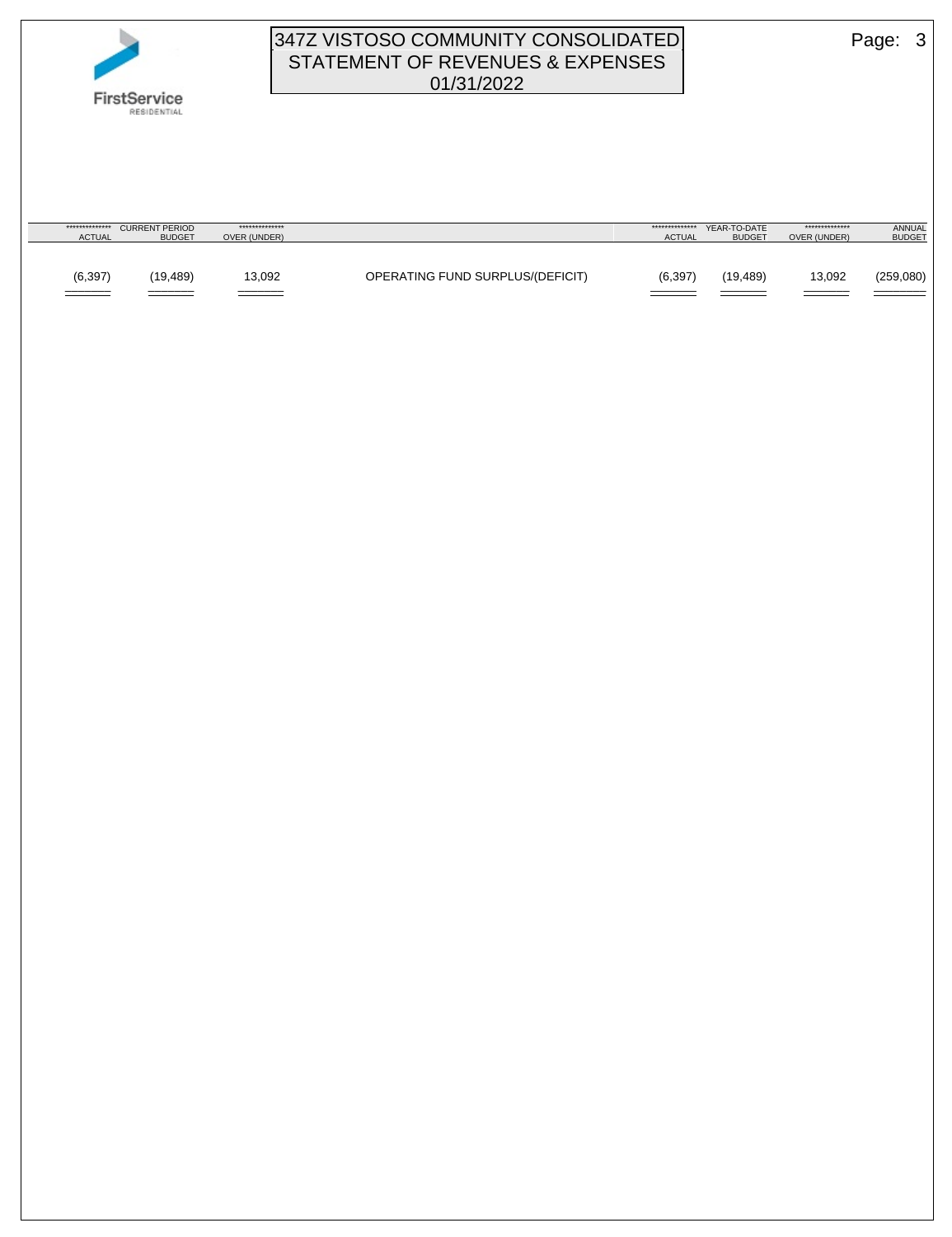

## 347Z VISTOSO COMMUNITY CONSOLIDATED Page: 3 STATEMENT OF REVENUES & EXPENSES 01/31/2022

| **************<br><b>ACTUAL</b>                        | <b>CURRENT PERIOD</b><br><b>BUDGET</b> | **************<br>OVER (UNDER) |                                  | **************<br><b>ACTUAL</b> | YEAR-TO-DATE<br><b>BUDGET</b> | **************<br>OVER (UNDER) | <b>ANNUAL</b><br><b>BUDGET</b> |
|--------------------------------------------------------|----------------------------------------|--------------------------------|----------------------------------|---------------------------------|-------------------------------|--------------------------------|--------------------------------|
|                                                        |                                        |                                |                                  |                                 |                               |                                |                                |
| (6, 397)<br>_______<br>the contract of the contract of | (19, 489)                              | 13,092<br>______               | OPERATING FUND SURPLUS/(DEFICIT) | (6, 397)                        | (19,489)                      | 13,092<br>_______              | (259,080)                      |